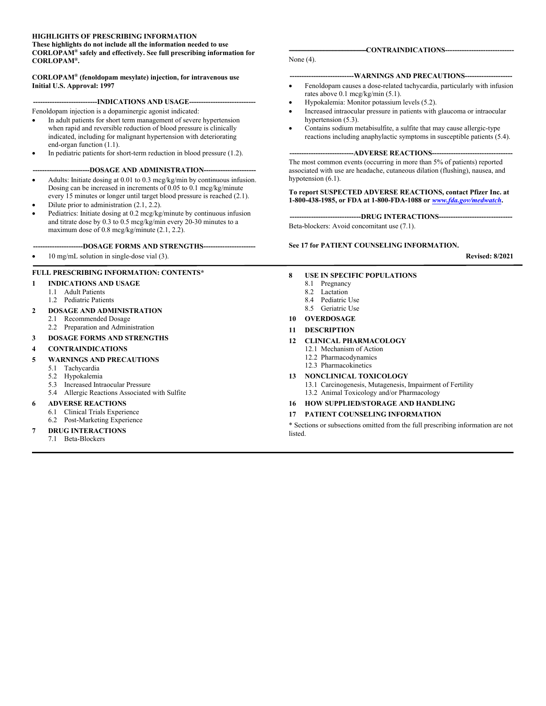#### **HIGHLIGHTS OF PRESCRIBING INFORMATION These highlights do not include all the information needed to use**

**CORLOPAM® safely and effectively. See full prescribing information for CORLOPAM® .**

**CORLOPAM® (fenoldopam mesylate) injection, for intravenous use Initial U.S. Approval: 1997**

---INDICATIONS AND USAGE--

Fenoldopam injection is a dopaminergic agonist indicated:

- In adult patients for short term management of severe hypertension when rapid and reversible reduction of blood pressure is clinically indicated, including for malignant hypertension with deteriorating end-organ function (1.1).
- In pediatric patients for short-term reduction in blood pressure (1.2).

#### ---DOSAGE AND ADMINISTRATION-

- Adults: Initiate dosing at 0.01 to 0.3 mcg/kg/min by continuous infusion. Dosing can be increased in increments of 0.05 to 0.1 mcg/kg/minute every 15 minutes or longer until target blood pressure is reached (2.1).
- Dilute prior to administration (2.1, 2.2).
- Pediatrics: Initiate dosing at 0.2 mcg/kg/minute by continuous infusion and titrate dose by 0.3 to 0.5 mcg/kg/min every 20-30 minutes to a maximum dose of 0.8 mcg/kg/minute (2.1, 2.2).
	- **---------------------DOSAGE FORMS AND STRENGTHS----------------------**
- 10 mg/mL solution in single-dose vial (3).

#### **FULL PRESCRIBING INFORMATION: CONTENTS\***

#### **1 INDICATIONS AND USAGE**

- 1.1 Adult Patients
- 1.2 Pediatric Patients

#### **2 DOSAGE AND ADMINISTRATION**

- 2.1 Recommended Dosage
- 2.2 Preparation and Administration
- **3 DOSAGE FORMS AND STRENGTHS**

#### **4 CONTRAINDICATIONS**

- **5 WARNINGS AND PRECAUTIONS**
	- 5.1 Tachycardia<br>5.2 Hypokalemia
	- **Hypokalemia**
	- 5.3 Increased Intraocular Pressure
	- 5.4 Allergic Reactions Associated with Sulfite

#### **6 ADVERSE REACTIONS**

- 6.1 Clinical Trials Experience
- 6.2 Post-Marketing Experience

#### **7 DRUG INTERACTIONS**

7.1 Beta-Blockers

#### None (4).

#### --WARNINGS AND PRECAUTIONS---

 $-$ CONTRAINDICATIONS--

- Fenoldopam causes a dose-related tachycardia, particularly with infusion rates above 0.1 mcg/kg/min (5.1).
- Hypokalemia: Monitor potassium levels (5.2).
- Increased intraocular pressure in patients with glaucoma or intraocular hypertension (5.3).
- Contains sodium metabisulfite, a sulfite that may cause allergic-type reactions including anaphylactic symptoms in susceptible patients (5.4).

#### **---------------------------ADVERSE REACTIONS----------------------------------**

The most common events (occurring in more than 5% of patients) reported associated with use are headache, cutaneous dilation (flushing), nausea, and hypotension  $(6.1)$ .

**To report SUSPECTED ADVERSE REACTIONS, contact Pfizer Inc. at 1-800-438-1985, or FDA at 1-800-FDA-1088 or** *[www.fda.gov/medwatch](http://www.fda.gov/medwatch)***.**

---DRUG INTERACTIONS---Beta-blockers: Avoid concomitant use (7.1).

#### **See 17 for PATIENT COUNSELING INFORMATION.**

**Revised: 8/2021**

#### **8 USE IN SPECIFIC POPULATIONS**

- 8.1 Pregnancy
	- 8.2 Lactation 8.4 Pediatric Use
	- 8.5 Geriatric Use
- **10 OVERDOSAGE**

#### **11 DESCRIPTION**

#### **12 CLINICAL PHARMACOLOGY**

- 12.1 Mechanism of Action
- 12.2 Pharmacodynamics
- 12.3 Pharmacokinetics

#### **13 NONCLINICAL TOXICOLOGY**

13.1 Carcinogenesis, Mutagenesis, Impairment of Fertility 13.2 Animal Toxicology and/or Pharmacology

#### **16 HOW SUPPLIED/STORAGE AND HANDLING**

#### **17 PATIENT COUNSELING INFORMATION**

\* Sections or subsections omitted from the full prescribing information are not listed.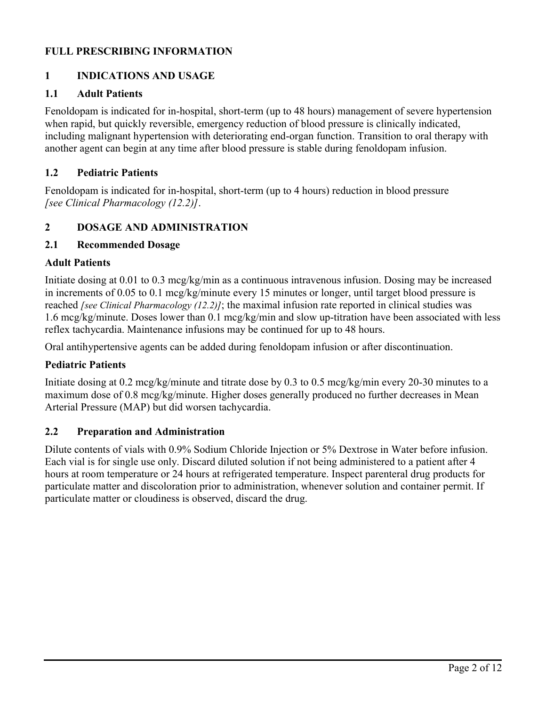## **FULL PRESCRIBING INFORMATION**

## **1 INDICATIONS AND USAGE**

### **1.1 Adult Patients**

Fenoldopam is indicated for in-hospital, short-term (up to 48 hours) management of severe hypertension when rapid, but quickly reversible, emergency reduction of blood pressure is clinically indicated, including malignant hypertension with deteriorating end-organ function. Transition to oral therapy with another agent can begin at any time after blood pressure is stable during fenoldopam infusion.

### **1.2 Pediatric Patients**

Fenoldopam is indicated for in-hospital, short-term (up to 4 hours) reduction in blood pressure *[see Clinical Pharmacology (12.2)]*.

### **2 DOSAGE AND ADMINISTRATION**

### **2.1 Recommended Dosage**

### **Adult Patients**

Initiate dosing at 0.01 to 0.3 mcg/kg/min as a continuous intravenous infusion. Dosing may be increased in increments of 0.05 to 0.1 mcg/kg/minute every 15 minutes or longer, until target blood pressure is reached *[see Clinical Pharmacology (12.2)]*; the maximal infusion rate reported in clinical studies was 1.6 mcg/kg/minute. Doses lower than 0.1 mcg/kg/min and slow up-titration have been associated with less reflex tachycardia. Maintenance infusions may be continued for up to 48 hours.

Oral antihypertensive agents can be added during fenoldopam infusion or after discontinuation.

### **Pediatric Patients**

Initiate dosing at 0.2 mcg/kg/minute and titrate dose by 0.3 to 0.5 mcg/kg/min every 20-30 minutes to a maximum dose of 0.8 mcg/kg/minute. Higher doses generally produced no further decreases in Mean Arterial Pressure (MAP) but did worsen tachycardia.

### **2.2 Preparation and Administration**

Dilute contents of vials with 0.9% Sodium Chloride Injection or 5% Dextrose in Water before infusion. Each vial is for single use only. Discard diluted solution if not being administered to a patient after 4 hours at room temperature or 24 hours at refrigerated temperature. Inspect parenteral drug products for particulate matter and discoloration prior to administration, whenever solution and container permit. If particulate matter or cloudiness is observed, discard the drug.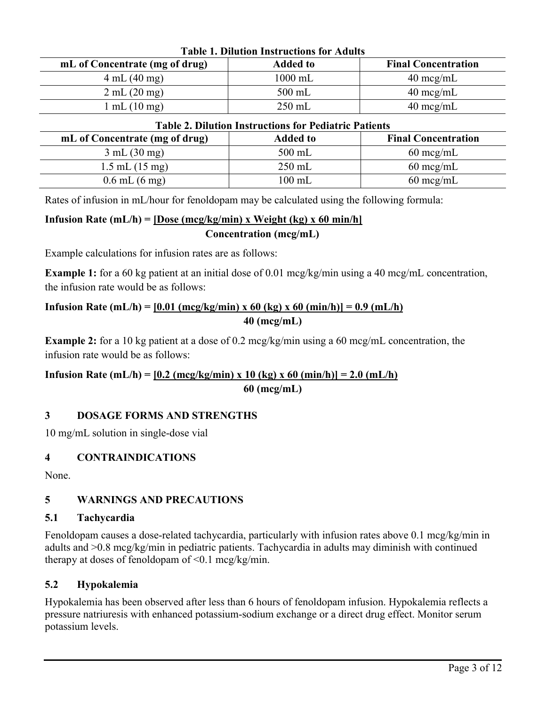| <b>Table 1. Dilution Instructions for Adults</b> |                 |                            |  |
|--------------------------------------------------|-----------------|----------------------------|--|
| mL of Concentrate (mg of drug)                   | <b>Added to</b> | <b>Final Concentration</b> |  |
| 4 mL (40 mg)                                     | $1000$ mL       | $40 \text{~mg/mL}$         |  |
| 2 mL (20 mg)                                     | $500$ mL        | $40 \text{~mg/mL}$         |  |
| $mL(10$ mg)                                      | $250$ mL        | $40 \text{~mg/mL}$         |  |

| <b>Table 2. Dilution Instructions for Pediatric Patients</b> |                  |                            |  |
|--------------------------------------------------------------|------------------|----------------------------|--|
| mL of Concentrate (mg of drug)                               | <b>Added to</b>  | <b>Final Concentration</b> |  |
| 3 mL (30 mg)                                                 | $500$ mL         | $60 \text{~mg/mL}$         |  |
| $1.5$ mL $(15 \text{ mg})$                                   | $250$ mL         | $60 \text{~mg/mL}$         |  |
| $0.6$ mL $(6$ mg)                                            | $100 \text{ mL}$ | $60 \text{~mg/mL}$         |  |

Rates of infusion in mL/hour for fenoldopam may be calculated using the following formula:

# **Infusion Rate (mL/h) = [Dose (mcg/kg/min) x Weight (kg) x 60 min/h] Concentration (mcg/mL)**

Example calculations for infusion rates are as follows:

**Example 1:** for a 60 kg patient at an initial dose of 0.01 mcg/kg/min using a 40 mcg/mL concentration, the infusion rate would be as follows:

## **Infusion Rate (mL/h)** =  $[0.01 \text{ (mcg/kg/min)} \times 60 \text{ (kg)} \times 60 \text{ (min/h)}] = 0.9 \text{ (mL/h)}$ **40 (mcg/mL)**

**Example 2:** for a 10 kg patient at a dose of 0.2 mcg/kg/min using a 60 mcg/mL concentration, the infusion rate would be as follows:

## **Infusion Rate (mL/h)** =  $[0.2 \text{ (mcg/kg/min)} \times 10 \text{ (kg)} \times 60 \text{ (min/h)} = 2.0 \text{ (mL/h)}$ **60 (mcg/mL)**

## **3 DOSAGE FORMS AND STRENGTHS**

10 mg/mL solution in single-dose vial

## **4 CONTRAINDICATIONS**

None.

# **5 WARNINGS AND PRECAUTIONS**

### **5.1 Tachycardia**

Fenoldopam causes a dose-related tachycardia, particularly with infusion rates above 0.1 mcg/kg/min in adults and >0.8 mcg/kg/min in pediatric patients. Tachycardia in adults may diminish with continued therapy at doses of fenoldopam of  $\leq 0.1$  mcg/kg/min.

## **5.2 Hypokalemia**

Hypokalemia has been observed after less than 6 hours of fenoldopam infusion. Hypokalemia reflects a pressure natriuresis with enhanced potassium-sodium exchange or a direct drug effect. Monitor serum potassium levels.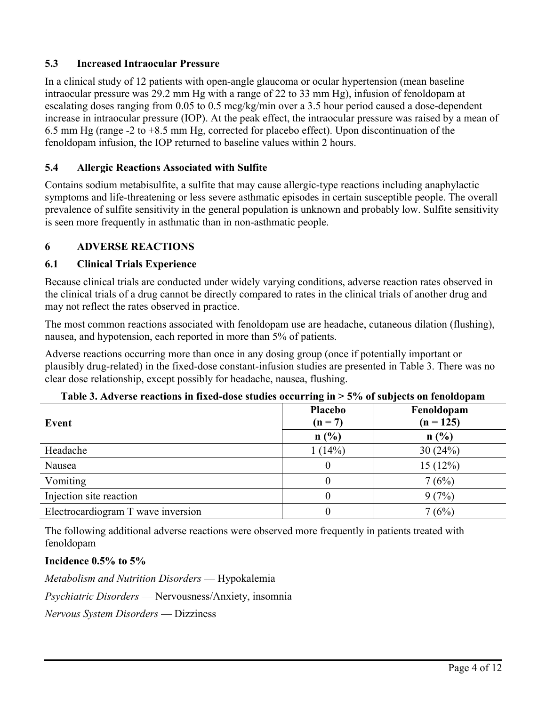## **5.3 Increased Intraocular Pressure**

In a clinical study of 12 patients with open-angle glaucoma or ocular hypertension (mean baseline intraocular pressure was 29.2 mm Hg with a range of 22 to 33 mm Hg), infusion of fenoldopam at escalating doses ranging from 0.05 to 0.5 mcg/kg/min over a 3.5 hour period caused a dose-dependent increase in intraocular pressure (IOP). At the peak effect, the intraocular pressure was raised by a mean of 6.5 mm Hg (range -2 to +8.5 mm Hg, corrected for placebo effect). Upon discontinuation of the fenoldopam infusion, the IOP returned to baseline values within 2 hours.

## **5.4 Allergic Reactions Associated with Sulfite**

Contains sodium metabisulfite, a sulfite that may cause allergic-type reactions including anaphylactic symptoms and life-threatening or less severe asthmatic episodes in certain susceptible people. The overall prevalence of sulfite sensitivity in the general population is unknown and probably low. Sulfite sensitivity is seen more frequently in asthmatic than in non-asthmatic people.

## **6 ADVERSE REACTIONS**

### **6.1 Clinical Trials Experience**

Because clinical trials are conducted under widely varying conditions, adverse reaction rates observed in the clinical trials of a drug cannot be directly compared to rates in the clinical trials of another drug and may not reflect the rates observed in practice.

The most common reactions associated with fenoldopam use are headache, cutaneous dilation (flushing), nausea, and hypotension, each reported in more than 5% of patients.

Adverse reactions occurring more than once in any dosing group (once if potentially important or plausibly drug-related) in the fixed-dose constant-infusion studies are presented in Table 3. There was no clear dose relationship, except possibly for headache, nausea, flushing.

| Event                              | $\overline{ }$<br>Placebo<br>$(n = 7)$ | Fenoldopam<br>$(n = 125)$ |
|------------------------------------|----------------------------------------|---------------------------|
|                                    | n(%)                                   | n(%)                      |
| Headache                           | 1(14%)                                 | 30(24%)                   |
| Nausea                             | 0                                      | 15(12%)                   |
| Vomiting                           | 0                                      | 7(6%)                     |
| Injection site reaction            | 0                                      | 9(7%)                     |
| Electrocardiogram T wave inversion | 0                                      | 7(6%)                     |

#### **Table 3. Adverse reactions in fixed-dose studies occurring in > 5% of subjects on fenoldopam**

The following additional adverse reactions were observed more frequently in patients treated with fenoldopam

### **Incidence 0.5% to 5%**

*Metabolism and Nutrition Disorders* — Hypokalemia

*Psychiatric Disorders* — Nervousness/Anxiety, insomnia

*Nervous System Disorders* — Dizziness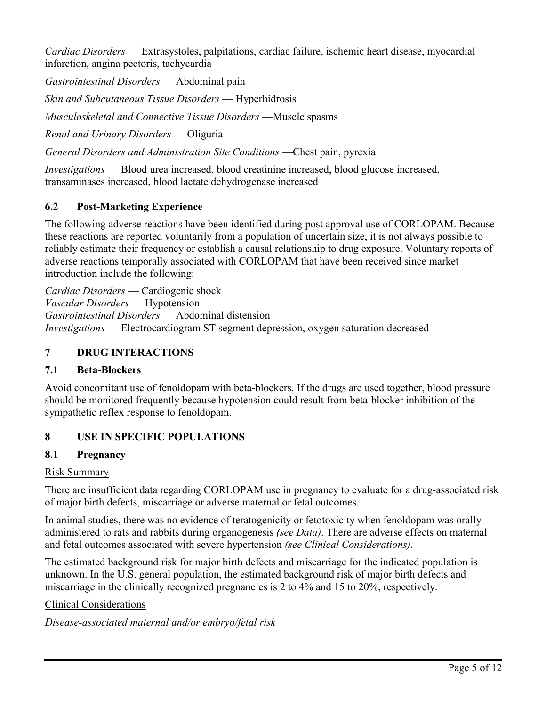*Cardiac Disorders* — Extrasystoles, palpitations, cardiac failure, ischemic heart disease, myocardial infarction, angina pectoris, tachycardia

*Gastrointestinal Disorders* — Abdominal pain

*Skin and Subcutaneous Tissue Disorders* — Hyperhidrosis

*Musculoskeletal and Connective Tissue Disorders* —Muscle spasms

*Renal and Urinary Disorders* — Oliguria

*General Disorders and Administration Site Conditions* —Chest pain, pyrexia

*Investigations* — Blood urea increased, blood creatinine increased, blood glucose increased, transaminases increased, blood lactate dehydrogenase increased

# **6.2 Post-Marketing Experience**

The following adverse reactions have been identified during post approval use of CORLOPAM. Because these reactions are reported voluntarily from a population of uncertain size, it is not always possible to reliably estimate their frequency or establish a causal relationship to drug exposure. Voluntary reports of adverse reactions temporally associated with CORLOPAM that have been received since market introduction include the following:

*Cardiac Disorders* — Cardiogenic shock *Vascular Disorders* — Hypotension *Gastrointestinal Disorders* — Abdominal distension *Investigations* — Electrocardiogram ST segment depression, oxygen saturation decreased

## **7 DRUG INTERACTIONS**

## **7.1 Beta-Blockers**

Avoid concomitant use of fenoldopam with beta-blockers. If the drugs are used together, blood pressure should be monitored frequently because hypotension could result from beta-blocker inhibition of the sympathetic reflex response to fenoldopam.

# **8 USE IN SPECIFIC POPULATIONS**

# **8.1 Pregnancy**

## Risk Summary

There are insufficient data regarding CORLOPAM use in pregnancy to evaluate for a drug-associated risk of major birth defects, miscarriage or adverse maternal or fetal outcomes.

In animal studies, there was no evidence of teratogenicity or fetotoxicity when fenoldopam was orally administered to rats and rabbits during organogenesis *(see Data)*. There are adverse effects on maternal and fetal outcomes associated with severe hypertension *(see Clinical Considerations)*.

The estimated background risk for major birth defects and miscarriage for the indicated population is unknown. In the U.S. general population, the estimated background risk of major birth defects and miscarriage in the clinically recognized pregnancies is 2 to 4% and 15 to 20%, respectively.

Clinical Considerations

*Disease-associated maternal and/or embryo/fetal risk*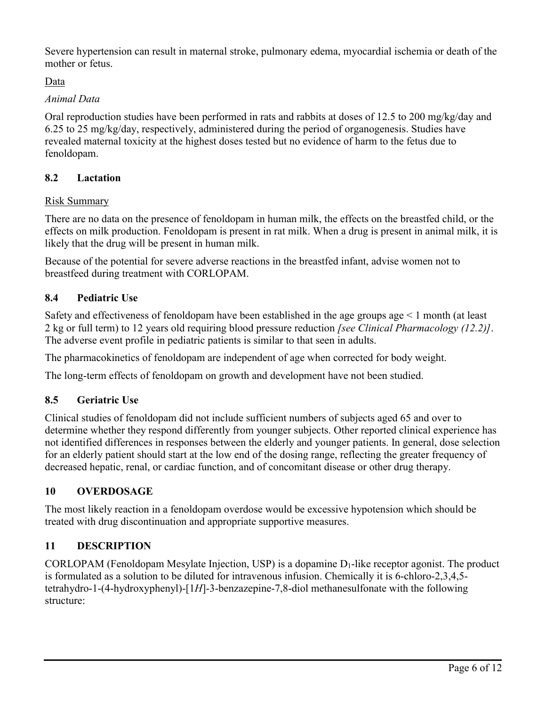Severe hypertension can result in maternal stroke, pulmonary edema, myocardial ischemia or death of the mother or fetus.

# Data

## *Animal Data*

Oral reproduction studies have been performed in rats and rabbits at doses of 12.5 to 200 mg/kg/day and 6.25 to 25 mg/kg/day, respectively, administered during the period of organogenesis. Studies have revealed maternal toxicity at the highest doses tested but no evidence of harm to the fetus due to fenoldopam.

# **8.2 Lactation**

# Risk Summary

There are no data on the presence of fenoldopam in human milk, the effects on the breastfed child, or the effects on milk production. Fenoldopam is present in rat milk. When a drug is present in animal milk, it is likely that the drug will be present in human milk.

Because of the potential for severe adverse reactions in the breastfed infant, advise women not to breastfeed during treatment with CORLOPAM.

# **8.4 Pediatric Use**

Safety and effectiveness of fenoldopam have been established in the age groups age < 1 month (at least 2 kg or full term) to 12 years old requiring blood pressure reduction *[see Clinical Pharmacology (12.2)]*. The adverse event profile in pediatric patients is similar to that seen in adults.

The pharmacokinetics of fenoldopam are independent of age when corrected for body weight.

The long-term effects of fenoldopam on growth and development have not been studied.

## **8.5 Geriatric Use**

Clinical studies of fenoldopam did not include sufficient numbers of subjects aged 65 and over to determine whether they respond differently from younger subjects. Other reported clinical experience has not identified differences in responses between the elderly and younger patients. In general, dose selection for an elderly patient should start at the low end of the dosing range, reflecting the greater frequency of decreased hepatic, renal, or cardiac function, and of concomitant disease or other drug therapy.

# **10 OVERDOSAGE**

The most likely reaction in a fenoldopam overdose would be excessive hypotension which should be treated with drug discontinuation and appropriate supportive measures.

## **11 DESCRIPTION**

CORLOPAM (Fenoldopam Mesylate Injection, USP) is a dopamine  $D_1$ -like receptor agonist. The product is formulated as a solution to be diluted for intravenous infusion. Chemically it is 6-chloro-2,3,4,5 tetrahydro-1-(4-hydroxyphenyl)-[1*H*]-3-benzazepine-7,8-diol methanesulfonate with the following structure: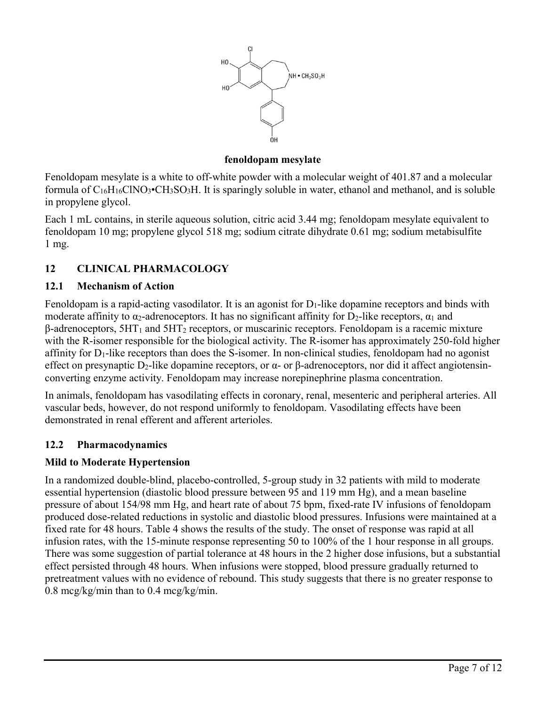

### **fenoldopam mesylate**

Fenoldopam mesylate is a white to off-white powder with a molecular weight of 401.87 and a molecular formula of  $C_{16}H_{16}CINO_3\bullet CH_3SO_3H$ . It is sparingly soluble in water, ethanol and methanol, and is soluble in propylene glycol.

Each 1 mL contains, in sterile aqueous solution, citric acid 3.44 mg; fenoldopam mesylate equivalent to fenoldopam 10 mg; propylene glycol 518 mg; sodium citrate dihydrate 0.61 mg; sodium metabisulfite 1 mg.

## **12 CLINICAL PHARMACOLOGY**

## **12.1 Mechanism of Action**

Fenoldopam is a rapid-acting vasodilator. It is an agonist for  $D_1$ -like dopamine receptors and binds with moderate affinity to  $\alpha_2$ -adrenoceptors. It has no significant affinity for  $D_2$ -like receptors,  $\alpha_1$  and  $β$ -adrenoceptors,  $5HT_1$  and  $5HT_2$  receptors, or muscarinic receptors. Fenoldopam is a racemic mixture with the R-isomer responsible for the biological activity. The R-isomer has approximately 250-fold higher affinity for  $D_1$ -like receptors than does the S-isomer. In non-clinical studies, fenoldopam had no agonist effect on presynaptic D<sub>2</sub>-like dopamine receptors, or α- or β-adrenoceptors, nor did it affect angiotensinconverting enzyme activity. Fenoldopam may increase norepinephrine plasma concentration.

In animals, fenoldopam has vasodilating effects in coronary, renal, mesenteric and peripheral arteries. All vascular beds, however, do not respond uniformly to fenoldopam. Vasodilating effects have been demonstrated in renal efferent and afferent arterioles.

## **12.2 Pharmacodynamics**

### **Mild to Moderate Hypertension**

In a randomized double-blind, placebo-controlled, 5-group study in 32 patients with mild to moderate essential hypertension (diastolic blood pressure between 95 and 119 mm Hg), and a mean baseline pressure of about 154/98 mm Hg, and heart rate of about 75 bpm, fixed-rate IV infusions of fenoldopam produced dose-related reductions in systolic and diastolic blood pressures. Infusions were maintained at a fixed rate for 48 hours. Table 4 shows the results of the study. The onset of response was rapid at all infusion rates, with the 15-minute response representing 50 to 100% of the 1 hour response in all groups. There was some suggestion of partial tolerance at 48 hours in the 2 higher dose infusions, but a substantial effect persisted through 48 hours. When infusions were stopped, blood pressure gradually returned to pretreatment values with no evidence of rebound. This study suggests that there is no greater response to 0.8 mcg/kg/min than to 0.4 mcg/kg/min.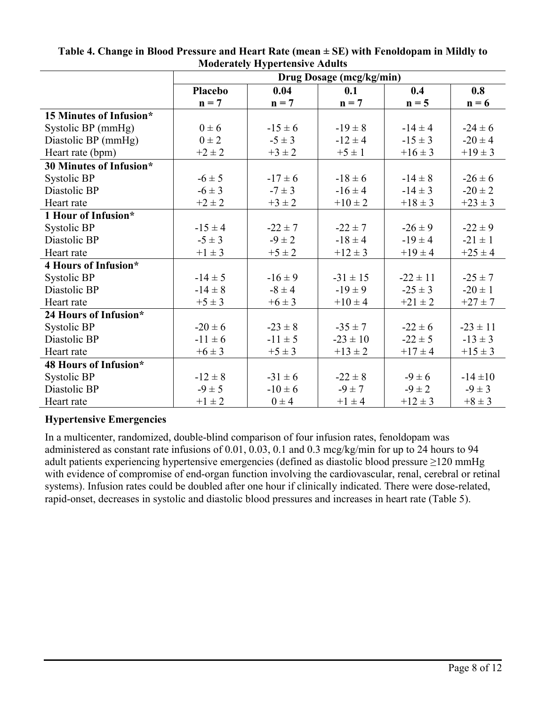|                         |                | $\cdots$    | Drug Dosage (mcg/kg/min) |              |              |
|-------------------------|----------------|-------------|--------------------------|--------------|--------------|
|                         | <b>Placebo</b> | 0.04        | 0.1                      | 0.4          | 0.8          |
|                         | $n = 7$        | $n = 7$     | $n = 7$                  | $n = 5$      | $n = 6$      |
| 15 Minutes of Infusion* |                |             |                          |              |              |
| Systolic BP (mmHg)      | $0 \pm 6$      | $-15 \pm 6$ | $-19 \pm 8$              | $-14 \pm 4$  | $-24 \pm 6$  |
| Diastolic BP (mmHg)     | $0 \pm 2$      | $-5 \pm 3$  | $-12 \pm 4$              | $-15 \pm 3$  | $-20 \pm 4$  |
| Heart rate (bpm)        | $+2 \pm 2$     | $+3 \pm 2$  | $+5 \pm 1$               | $+16 \pm 3$  | $+19 \pm 3$  |
| 30 Minutes of Infusion* |                |             |                          |              |              |
| Systolic BP             | $-6 \pm 5$     | $-17 \pm 6$ | $-18 \pm 6$              | $-14 \pm 8$  | $-26 \pm 6$  |
| Diastolic BP            | $-6 \pm 3$     | $-7 \pm 3$  | $-16 \pm 4$              | $-14 \pm 3$  | $-20 \pm 2$  |
| Heart rate              | $+2 \pm 2$     | $+3 \pm 2$  | $+10 \pm 2$              | $+18 \pm 3$  | $+23 \pm 3$  |
| 1 Hour of Infusion*     |                |             |                          |              |              |
| Systolic BP             | $-15 \pm 4$    | $-22 \pm 7$ | $-22 \pm 7$              | $-26 \pm 9$  | $-22 \pm 9$  |
| Diastolic BP            | $-5 \pm 3$     | $-9 \pm 2$  | $-18 \pm 4$              | $-19 \pm 4$  | $-21 \pm 1$  |
| Heart rate              | $+1 \pm 3$     | $+5 \pm 2$  | $+12 \pm 3$              | $+19 \pm 4$  | $+25 \pm 4$  |
| 4 Hours of Infusion*    |                |             |                          |              |              |
| Systolic BP             | $-14 \pm 5$    | $-16 \pm 9$ | $-31 \pm 15$             | $-22 \pm 11$ | $-25 \pm 7$  |
| Diastolic BP            | $-14 \pm 8$    | $-8 \pm 4$  | $-19 \pm 9$              | $-25 \pm 3$  | $-20 \pm 1$  |
| Heart rate              | $+5 \pm 3$     | $+6 \pm 3$  | $+10 \pm 4$              | $+21 \pm 2$  | $+27 \pm 7$  |
| 24 Hours of Infusion*   |                |             |                          |              |              |
| Systolic BP             | $-20 \pm 6$    | $-23 \pm 8$ | $-35 \pm 7$              | $-22 \pm 6$  | $-23 \pm 11$ |
| Diastolic BP            | $-11 \pm 6$    | $-11 \pm 5$ | $-23 \pm 10$             | $-22 \pm 5$  | $-13 \pm 3$  |
| Heart rate              | $+6 \pm 3$     | $+5 \pm 3$  | $+13 \pm 2$              | $+17 \pm 4$  | $+15 \pm 3$  |
| 48 Hours of Infusion*   |                |             |                          |              |              |
| Systolic BP             | $-12 \pm 8$    | $-31 \pm 6$ | $-22 \pm 8$              | $-9 \pm 6$   | $-14 \pm 10$ |
| Diastolic BP            | $-9 \pm 5$     | $-10 \pm 6$ | $-9 \pm 7$               | $-9 \pm 2$   | $-9 \pm 3$   |
| Heart rate              | $+1 \pm 2$     | $0 \pm 4$   | $+1 \pm 4$               | $+12 \pm 3$  | $+8 \pm 3$   |

### **Table 4. Change in Blood Pressure and Heart Rate (mean ± SE) with Fenoldopam in Mildly to Moderately Hypertensive Adults**

# **Hypertensive Emergencies**

In a multicenter, randomized, double-blind comparison of four infusion rates, fenoldopam was administered as constant rate infusions of 0.01, 0.03, 0.1 and 0.3 mcg/kg/min for up to 24 hours to 94 adult patients experiencing hypertensive emergencies (defined as diastolic blood pressure ≥120 mmHg with evidence of compromise of end-organ function involving the cardiovascular, renal, cerebral or retinal systems). Infusion rates could be doubled after one hour if clinically indicated. There were dose-related, rapid-onset, decreases in systolic and diastolic blood pressures and increases in heart rate (Table 5).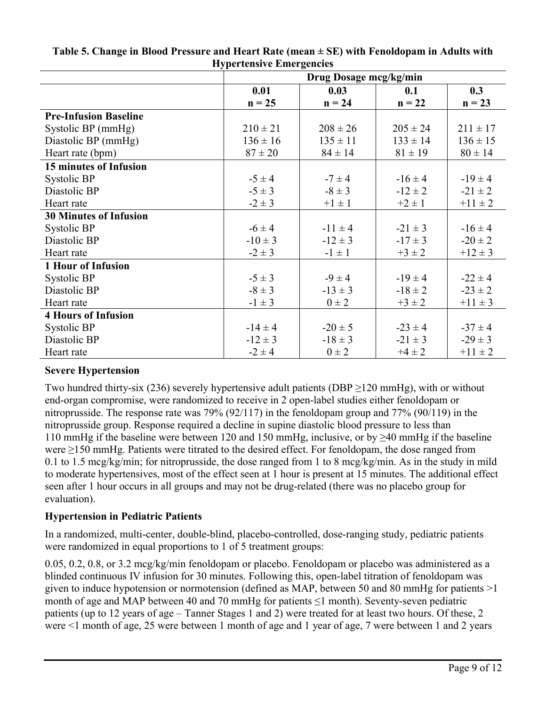|                               | 11, per tensive Ellier generes |              |              |              |
|-------------------------------|--------------------------------|--------------|--------------|--------------|
|                               | Drug Dosage mcg/kg/min         |              |              |              |
|                               | 0.01                           | 0.03         | 0.1          | 0.3          |
|                               | $n = 25$                       | $n = 24$     | $n = 22$     | $n = 23$     |
| <b>Pre-Infusion Baseline</b>  |                                |              |              |              |
| Systolic BP (mmHg)            | $210 \pm 21$                   | $208 \pm 26$ | $205 \pm 24$ | $211 \pm 17$ |
| Diastolic BP (mmHg)           | $136 \pm 16$                   | $135 \pm 11$ | $133 \pm 14$ | $136 \pm 15$ |
| Heart rate (bpm)              | $87 \pm 20$                    | $84 \pm 14$  | $81 \pm 19$  | $80 \pm 14$  |
| <b>15 minutes of Infusion</b> |                                |              |              |              |
| Systolic BP                   | $-5 \pm 4$                     | $-7 \pm 4$   | $-16 \pm 4$  | $-19 \pm 4$  |
| Diastolic BP                  | $-5 \pm 3$                     | $-8 \pm 3$   | $-12 \pm 2$  | $-21 \pm 2$  |
| Heart rate                    | $-2 \pm 3$                     | $+1 \pm 1$   | $+2 \pm 1$   | $+11 \pm 2$  |
| <b>30 Minutes of Infusion</b> |                                |              |              |              |
| Systolic BP                   | $-6 \pm 4$                     | $-11 \pm 4$  | $-21 \pm 3$  | $-16 \pm 4$  |
| Diastolic BP                  | $-10 \pm 3$                    | $-12 \pm 3$  | $-17 \pm 3$  | $-20 \pm 2$  |
| Heart rate                    | $-2 \pm 3$                     | $-1 \pm 1$   | $+3 \pm 2$   | $+12 \pm 3$  |
| <b>1 Hour of Infusion</b>     |                                |              |              |              |
| Systolic BP                   | $-5 \pm 3$                     | $-9 \pm 4$   | $-19 \pm 4$  | $-22 \pm 4$  |
| Diastolic BP                  | $-8 \pm 3$                     | $-13 \pm 3$  | $-18 \pm 2$  | $-23 \pm 2$  |
| Heart rate                    | $-1 \pm 3$                     | $0 \pm 2$    | $+3 \pm 2$   | $+11 \pm 3$  |
| <b>4 Hours of Infusion</b>    |                                |              |              |              |
| Systolic BP                   | $-14 \pm 4$                    | $-20 \pm 5$  | $-23 \pm 4$  | $-37 \pm 4$  |
| Diastolic BP                  | $-12 \pm 3$                    | $-18 \pm 3$  | $-21 \pm 3$  | $-29 \pm 3$  |
| Heart rate                    | $-2 \pm 4$                     | $0 \pm 2$    | $+4 \pm 2$   | $+11 \pm 2$  |

### **Table 5. Change in Blood Pressure and Heart Rate (mean ± SE) with Fenoldopam in Adults with Hypertensive Emergencies**

# **Severe Hypertension**

Two hundred thirty-six (236) severely hypertensive adult patients (DBP ≥120 mmHg), with or without end-organ compromise, were randomized to receive in 2 open-label studies either fenoldopam or nitroprusside. The response rate was 79% (92/117) in the fenoldopam group and 77% (90/119) in the nitroprusside group. Response required a decline in supine diastolic blood pressure to less than 110 mmHg if the baseline were between 120 and 150 mmHg, inclusive, or by  $\geq$ 40 mmHg if the baseline were ≥150 mmHg. Patients were titrated to the desired effect. For fenoldopam, the dose ranged from 0.1 to 1.5 mcg/kg/min; for nitroprusside, the dose ranged from 1 to 8 mcg/kg/min. As in the study in mild to moderate hypertensives, most of the effect seen at 1 hour is present at 15 minutes. The additional effect seen after 1 hour occurs in all groups and may not be drug-related (there was no placebo group for evaluation).

## **Hypertension in Pediatric Patients**

In a randomized, multi-center, double-blind, placebo-controlled, dose-ranging study, pediatric patients were randomized in equal proportions to 1 of 5 treatment groups:

0.05, 0.2, 0.8, or 3.2 mcg/kg/min fenoldopam or placebo. Fenoldopam or placebo was administered as a blinded continuous IV infusion for 30 minutes. Following this, open-label titration of fenoldopam was given to induce hypotension or normotension (defined as MAP, between 50 and 80 mmHg for patients >1 month of age and MAP between 40 and 70 mmHg for patients  $\leq$ 1 month). Seventy-seven pediatric patients (up to 12 years of age – Tanner Stages 1 and 2) were treated for at least two hours. Of these, 2 were <1 month of age, 25 were between 1 month of age and 1 year of age, 7 were between 1 and 2 years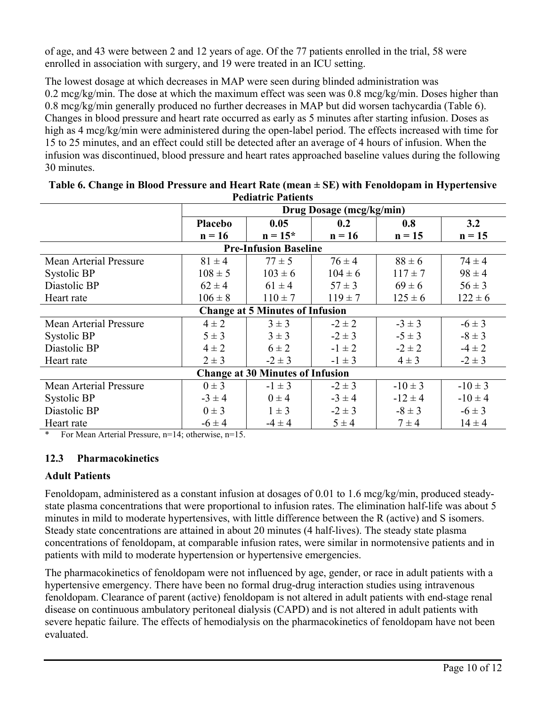of age, and 43 were between 2 and 12 years of age. Of the 77 patients enrolled in the trial, 58 were enrolled in association with surgery, and 19 were treated in an ICU setting.

The lowest dosage at which decreases in MAP were seen during blinded administration was 0.2 mcg/kg/min. The dose at which the maximum effect was seen was 0.8 mcg/kg/min. Doses higher than 0.8 mcg/kg/min generally produced no further decreases in MAP but did worsen tachycardia (Table 6). Changes in blood pressure and heart rate occurred as early as 5 minutes after starting infusion. Doses as high as 4 mcg/kg/min were administered during the open-label period. The effects increased with time for 15 to 25 minutes, and an effect could still be detected after an average of 4 hours of infusion. When the infusion was discontinued, blood pressure and heart rates approached baseline values during the following 30 minutes.

|                                         | Drug Dosage (mcg/kg/min) |                              |             |             |             |
|-----------------------------------------|--------------------------|------------------------------|-------------|-------------|-------------|
|                                         | Placebo                  | 0.05                         | 0.2         | 0.8         | 3.2         |
|                                         | $n = 16$                 | $n = 15*$                    | $n = 16$    | $n = 15$    | $n = 15$    |
|                                         |                          | <b>Pre-Infusion Baseline</b> |             |             |             |
| Mean Arterial Pressure                  | $81 \pm 4$               | $77 \pm 5$                   | $76 \pm 4$  | $88 \pm 6$  | $74 \pm 4$  |
| Systolic BP                             | $108 \pm 5$              | $103 \pm 6$                  | $104 \pm 6$ | $117 \pm 7$ | $98 \pm 4$  |
| Diastolic BP                            | $62 \pm 4$               | $61 \pm 4$                   | $57 \pm 3$  | $69 \pm 6$  | $56 \pm 3$  |
| Heart rate                              | $106 \pm 8$              | $110 \pm 7$                  | $119 \pm 7$ | $125 \pm 6$ | $122 \pm 6$ |
| <b>Change at 5 Minutes of Infusion</b>  |                          |                              |             |             |             |
| Mean Arterial Pressure                  | $4\pm 2$                 | $3 \pm 3$                    | $-2 \pm 2$  | $-3 \pm 3$  | $-6 \pm 3$  |
| Systolic BP                             | $5 \pm 3$                | $3 \pm 3$                    | $-2 \pm 3$  | $-5 \pm 3$  | $-8 \pm 3$  |
| Diastolic BP                            | $4\pm 2$                 | $6 \pm 2$                    | $-1 \pm 2$  | $-2 \pm 2$  | $-4 \pm 2$  |
| Heart rate                              | $2 \pm 3$                | $-2 \pm 3$                   | $-1 \pm 3$  | $4 \pm 3$   | $-2 \pm 3$  |
| <b>Change at 30 Minutes of Infusion</b> |                          |                              |             |             |             |
| Mean Arterial Pressure                  | $0 \pm 3$                | $-1 \pm 3$                   | $-2 \pm 3$  | $-10 \pm 3$ | $-10 \pm 3$ |
| Systolic BP                             | $-3 \pm 4$               | $0 \pm 4$                    | $-3 \pm 4$  | $-12 \pm 4$ | $-10 \pm 4$ |
| Diastolic BP                            | $0 \pm 3$                | $1 \pm 3$                    | $-2 \pm 3$  | $-8 \pm 3$  | $-6 \pm 3$  |
| Heart rate                              | $-6 \pm 4$               | $-4 \pm 4$                   | $5 \pm 4$   | $7 \pm 4$   | $14 \pm 4$  |

| Table 6. Change in Blood Pressure and Heart Rate (mean $\pm$ SE) with Fenoldopam in Hypertensive |
|--------------------------------------------------------------------------------------------------|
| <b>Pediatric Patients</b>                                                                        |

For Mean Arterial Pressure, n=14; otherwise, n=15.

### **12.3 Pharmacokinetics**

### **Adult Patients**

Fenoldopam, administered as a constant infusion at dosages of 0.01 to 1.6 mcg/kg/min, produced steadystate plasma concentrations that were proportional to infusion rates. The elimination half-life was about 5 minutes in mild to moderate hypertensives, with little difference between the R (active) and S isomers. Steady state concentrations are attained in about 20 minutes (4 half-lives). The steady state plasma concentrations of fenoldopam, at comparable infusion rates, were similar in normotensive patients and in patients with mild to moderate hypertension or hypertensive emergencies.

The pharmacokinetics of fenoldopam were not influenced by age, gender, or race in adult patients with a hypertensive emergency. There have been no formal drug-drug interaction studies using intravenous fenoldopam. Clearance of parent (active) fenoldopam is not altered in adult patients with end-stage renal disease on continuous ambulatory peritoneal dialysis (CAPD) and is not altered in adult patients with severe hepatic failure. The effects of hemodialysis on the pharmacokinetics of fenoldopam have not been evaluated.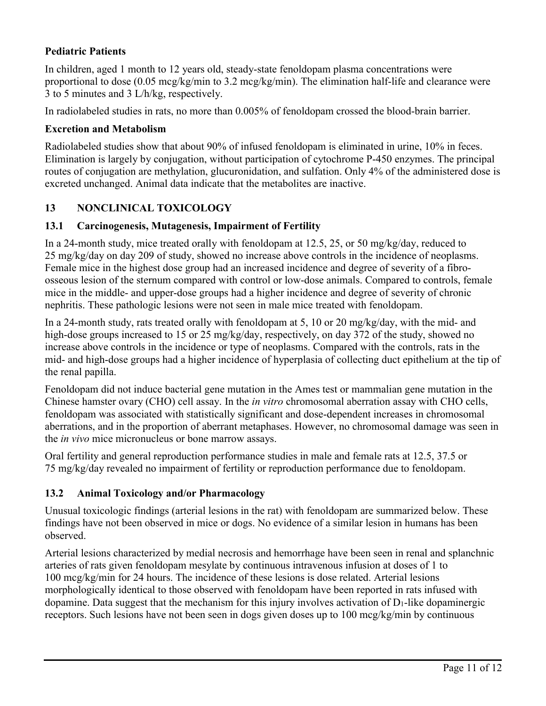## **Pediatric Patients**

In children, aged 1 month to 12 years old, steady-state fenoldopam plasma concentrations were proportional to dose (0.05 mcg/kg/min to 3.2 mcg/kg/min). The elimination half-life and clearance were 3 to 5 minutes and 3 L/h/kg, respectively.

In radiolabeled studies in rats, no more than 0.005% of fenoldopam crossed the blood-brain barrier.

### **Excretion and Metabolism**

Radiolabeled studies show that about 90% of infused fenoldopam is eliminated in urine, 10% in feces. Elimination is largely by conjugation, without participation of cytochrome P-450 enzymes. The principal routes of conjugation are methylation, glucuronidation, and sulfation. Only 4% of the administered dose is excreted unchanged. Animal data indicate that the metabolites are inactive.

## **13 NONCLINICAL TOXICOLOGY**

### **13.1 Carcinogenesis, Mutagenesis, Impairment of Fertility**

In a 24-month study, mice treated orally with fenoldopam at 12.5, 25, or 50 mg/kg/day, reduced to 25 mg/kg/day on day 209 of study, showed no increase above controls in the incidence of neoplasms. Female mice in the highest dose group had an increased incidence and degree of severity of a fibroosseous lesion of the sternum compared with control or low-dose animals. Compared to controls, female mice in the middle- and upper-dose groups had a higher incidence and degree of severity of chronic nephritis. These pathologic lesions were not seen in male mice treated with fenoldopam.

In a 24-month study, rats treated orally with fenoldopam at 5, 10 or 20 mg/kg/day, with the mid- and high-dose groups increased to 15 or 25 mg/kg/day, respectively, on day 372 of the study, showed no increase above controls in the incidence or type of neoplasms. Compared with the controls, rats in the mid- and high-dose groups had a higher incidence of hyperplasia of collecting duct epithelium at the tip of the renal papilla.

Fenoldopam did not induce bacterial gene mutation in the Ames test or mammalian gene mutation in the Chinese hamster ovary (CHO) cell assay. In the *in vitro* chromosomal aberration assay with CHO cells, fenoldopam was associated with statistically significant and dose-dependent increases in chromosomal aberrations, and in the proportion of aberrant metaphases. However, no chromosomal damage was seen in the *in vivo* mice micronucleus or bone marrow assays.

Oral fertility and general reproduction performance studies in male and female rats at 12.5, 37.5 or 75 mg/kg/day revealed no impairment of fertility or reproduction performance due to fenoldopam.

### **13.2 Animal Toxicology and/or Pharmacology**

Unusual toxicologic findings (arterial lesions in the rat) with fenoldopam are summarized below. These findings have not been observed in mice or dogs. No evidence of a similar lesion in humans has been observed.

Arterial lesions characterized by medial necrosis and hemorrhage have been seen in renal and splanchnic arteries of rats given fenoldopam mesylate by continuous intravenous infusion at doses of 1 to 100 mcg/kg/min for 24 hours. The incidence of these lesions is dose related. Arterial lesions morphologically identical to those observed with fenoldopam have been reported in rats infused with dopamine. Data suggest that the mechanism for this injury involves activation of  $D_1$ -like dopaminergic receptors. Such lesions have not been seen in dogs given doses up to 100 mcg/kg/min by continuous